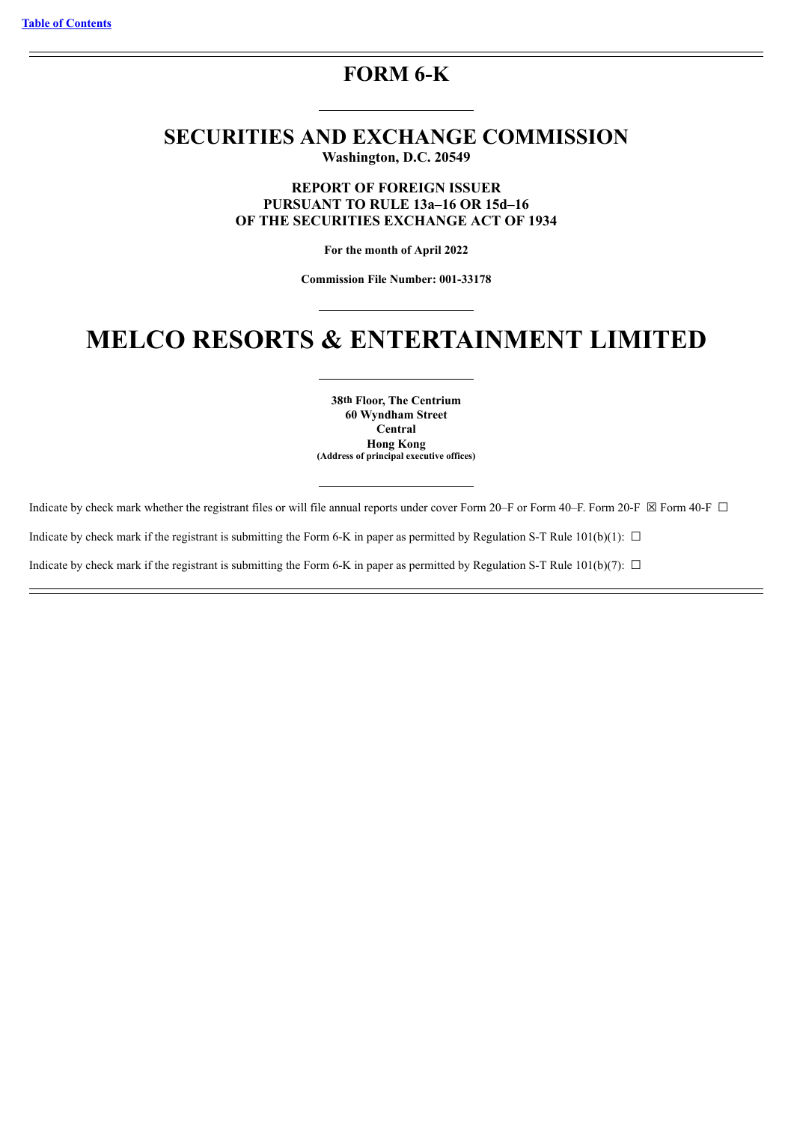# **FORM 6-K**

# **SECURITIES AND EXCHANGE COMMISSION Washington, D.C. 20549**

**REPORT OF FOREIGN ISSUER PURSUANT TO RULE 13a–16 OR 15d–16 OF THE SECURITIES EXCHANGE ACT OF 1934**

**For the month of April 2022**

**Commission File Number: 001-33178**

# **MELCO RESORTS & ENTERTAINMENT LIMITED**

**38th Floor, The Centrium 60 Wyndham Street Central Hong Kong (Address of principal executive offices)**

Indicate by check mark whether the registrant files or will file annual reports under cover Form 20–F or Form 40–F. Form 20–F  $\boxtimes$  Form 40–F  $\Box$ 

Indicate by check mark if the registrant is submitting the Form 6-K in paper as permitted by Regulation S-T Rule  $101(b)(1)$ :  $\Box$ 

Indicate by check mark if the registrant is submitting the Form 6-K in paper as permitted by Regulation S-T Rule 101(b)(7):  $\Box$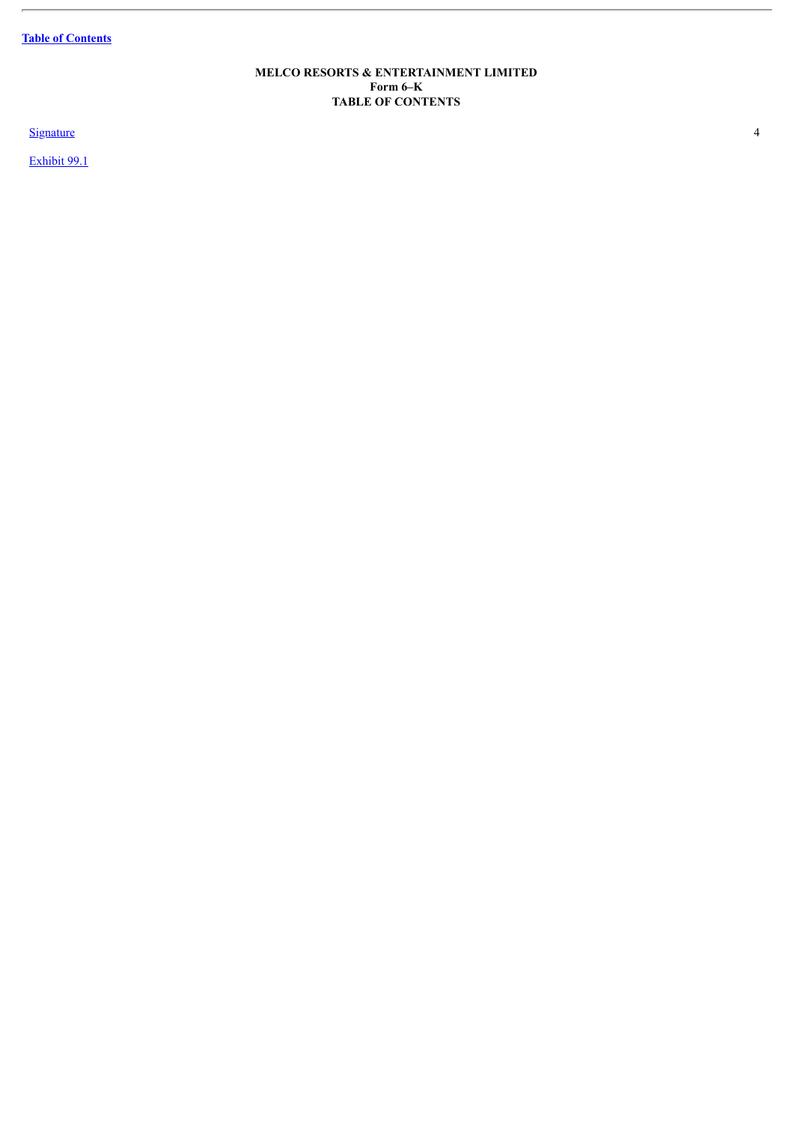**Table of [Contents](#page-1-0)**

L.

## **MELCO RESORTS & ENTERTAINMENT LIMITED Form 6–K TABLE OF CONTENTS**

<span id="page-1-0"></span>**[Signature](#page-3-0)** 4 and 4 and 4 and 4 and 4 and 4 and 4 and 4 and 4 and 4 and 4 and 4 and 4 and 4 and 4 and 4 and 4 and 4 and 4 and 4 and 4 and 4 and 4 and 4 and 4 and 4 and 4 and 4 and 4 and 4 and 4 and 4 and 4 and 4 and 4 and

[Exhibit](#page-5-0) 99.1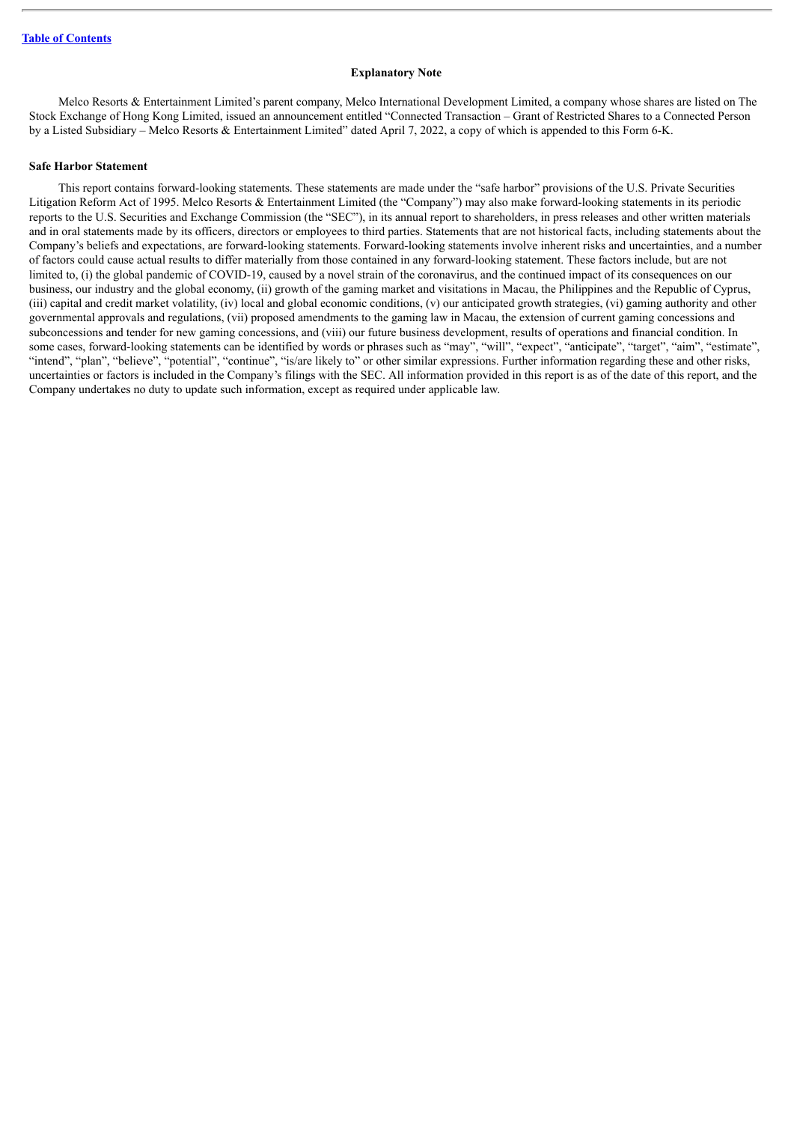#### **Explanatory Note**

Melco Resorts & Entertainment Limited's parent company, Melco International Development Limited, a company whose shares are listed on The Stock Exchange of Hong Kong Limited, issued an announcement entitled "Connected Transaction – Grant of Restricted Shares to a Connected Person by a Listed Subsidiary – Melco Resorts & Entertainment Limited" dated April 7, 2022, a copy of which is appended to this Form 6-K.

### **Safe Harbor Statement**

This report contains forward-looking statements. These statements are made under the "safe harbor" provisions of the U.S. Private Securities Litigation Reform Act of 1995. Melco Resorts & Entertainment Limited (the "Company") may also make forward-looking statements in its periodic reports to the U.S. Securities and Exchange Commission (the "SEC"), in its annual report to shareholders, in press releases and other written materials and in oral statements made by its officers, directors or employees to third parties. Statements that are not historical facts, including statements about the Company's beliefs and expectations, are forward-looking statements. Forward-looking statements involve inherent risks and uncertainties, and a number of factors could cause actual results to differ materially from those contained in any forward-looking statement. These factors include, but are not limited to, (i) the global pandemic of COVID-19, caused by a novel strain of the coronavirus, and the continued impact of its consequences on our business, our industry and the global economy, (ii) growth of the gaming market and visitations in Macau, the Philippines and the Republic of Cyprus, (iii) capital and credit market volatility, (iv) local and global economic conditions, (v) our anticipated growth strategies, (vi) gaming authority and other governmental approvals and regulations, (vii) proposed amendments to the gaming law in Macau, the extension of current gaming concessions and subconcessions and tender for new gaming concessions, and (viii) our future business development, results of operations and financial condition. In some cases, forward-looking statements can be identified by words or phrases such as "may", "will", "expect", "anticipate", "target", "aim", "estimate", "intend", "plan", "believe", "potential", "continue", "is/are likely to" or other similar expressions. Further information regarding these and other risks, uncertainties or factors is included in the Company's filings with the SEC. All information provided in this report is as of the date of this report, and the Company undertakes no duty to update such information, except as required under applicable law.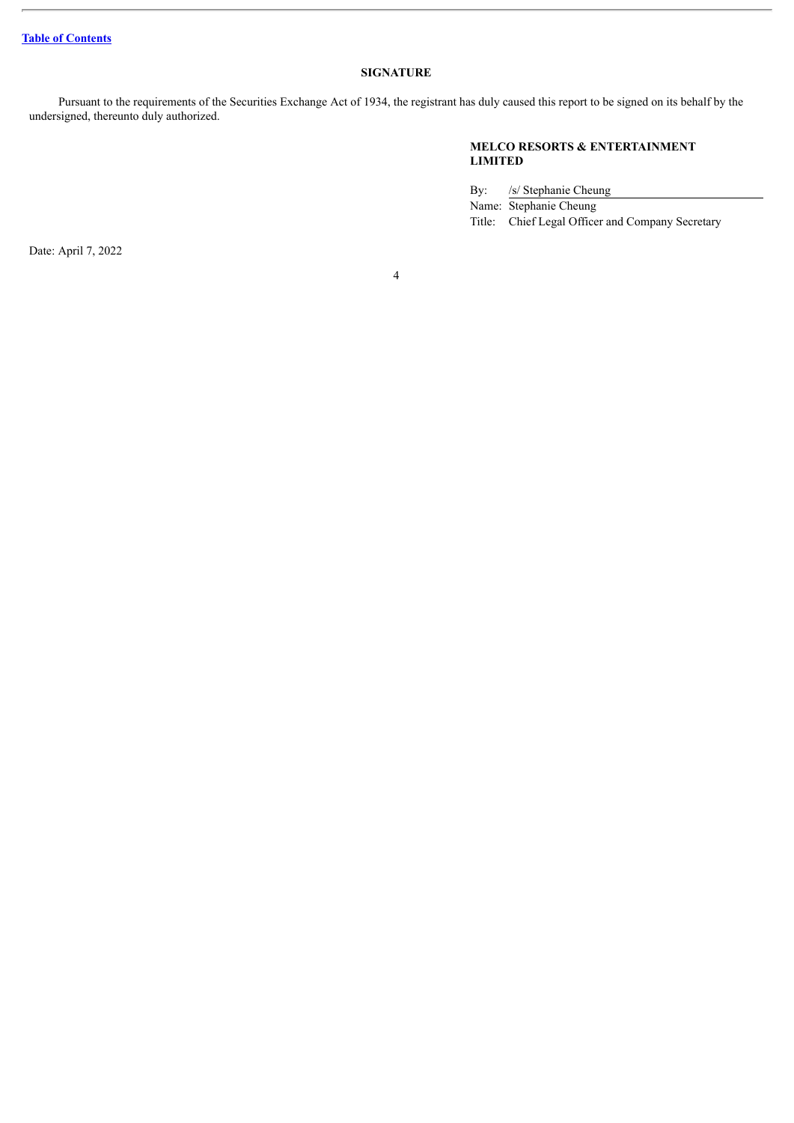# **SIGNATURE**

<span id="page-3-0"></span>Pursuant to the requirements of the Securities Exchange Act of 1934, the registrant has duly caused this report to be signed on its behalf by the undersigned, thereunto duly authorized.

# **MELCO RESORTS & ENTERTAINMENT LIMITED**

By: /s/ Stephanie Cheung

Name: Stephanie Cheung

Title: Chief Legal Officer and Company Secretary

Date: April 7, 2022

4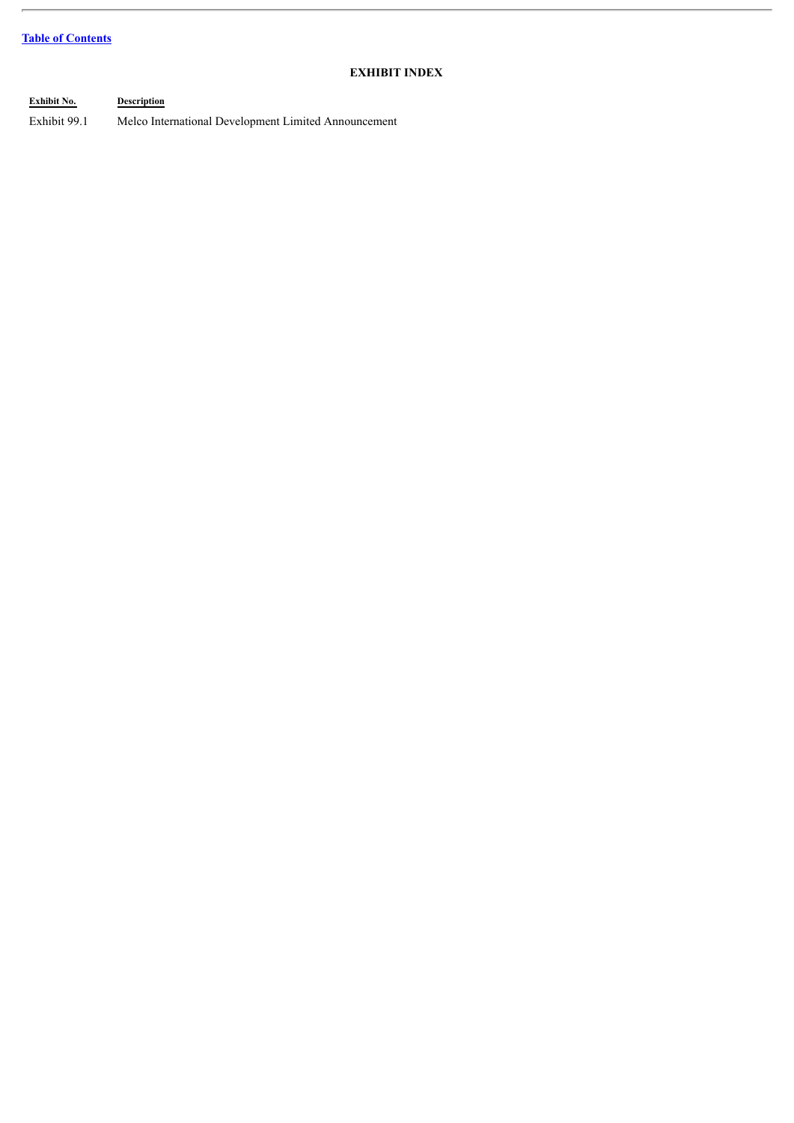# **Table of [Contents](#page-1-0)**

# **EXHIBIT INDEX**

**Exhibit No. Description** Exhibit 99.1 Melco International Development Limited Announcement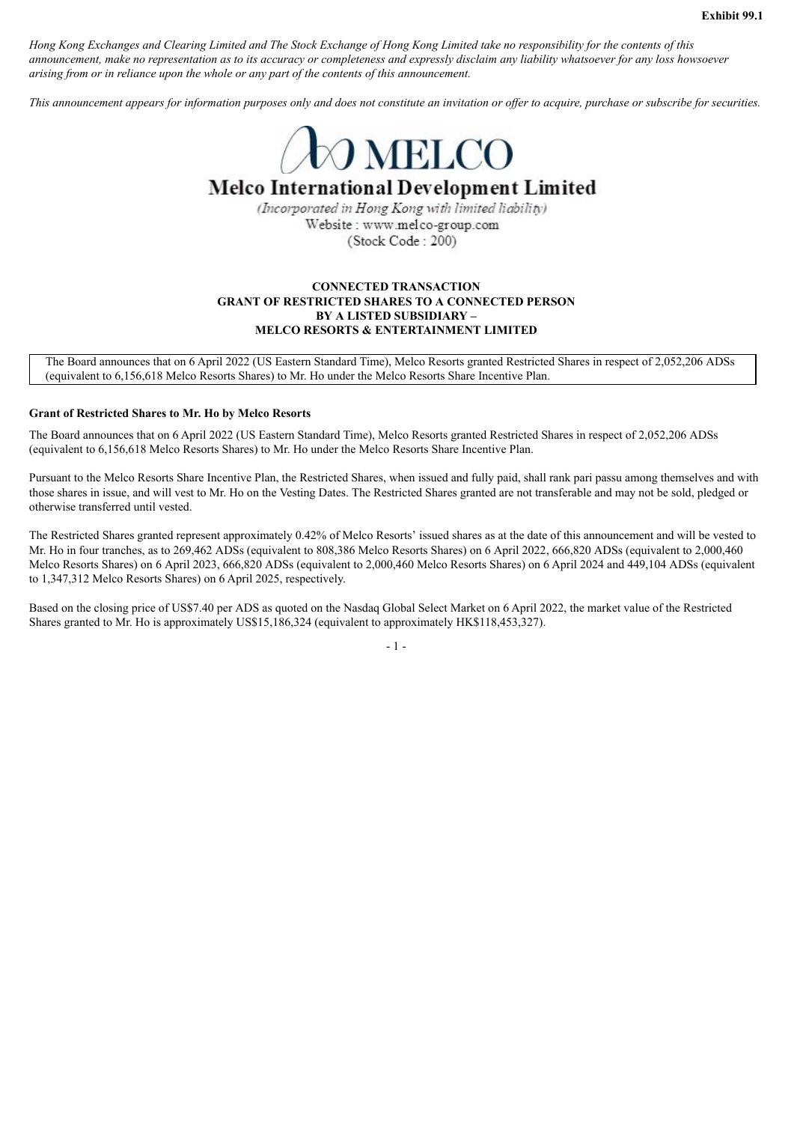<span id="page-5-0"></span>Hong Kong Exchanges and Clearing Limited and The Stock Exchange of Hong Kong Limited take no responsibility for the contents of this announcement, make no representation as to its accuracy or completeness and expressly disclaim any liability whatsoever for any loss howsoever *arising from or in reliance upon the whole or any part of the contents of this announcement.*

This announcement appears for information purposes only and does not constitute an invitation or offer to acquire, purchase or subscribe for securities.



# **Melco International Development Limited**

(Incorporated in Hong Kong with limited liability) Website: www.melco-group.com (Stock Code: 200)

## **CONNECTED TRANSACTION GRANT OF RESTRICTED SHARES TO A CONNECTED PERSON BY A LISTED SUBSIDIARY – MELCO RESORTS & ENTERTAINMENT LIMITED**

The Board announces that on 6 April 2022 (US Eastern Standard Time), Melco Resorts granted Restricted Shares in respect of 2,052,206 ADSs (equivalent to 6,156,618 Melco Resorts Shares) to Mr. Ho under the Melco Resorts Share Incentive Plan.

### **Grant of Restricted Shares to Mr. Ho by Melco Resorts**

The Board announces that on 6 April 2022 (US Eastern Standard Time), Melco Resorts granted Restricted Shares in respect of 2,052,206 ADSs (equivalent to 6,156,618 Melco Resorts Shares) to Mr. Ho under the Melco Resorts Share Incentive Plan.

Pursuant to the Melco Resorts Share Incentive Plan, the Restricted Shares, when issued and fully paid, shall rank pari passu among themselves and with those shares in issue, and will vest to Mr. Ho on the Vesting Dates. The Restricted Shares granted are not transferable and may not be sold, pledged or otherwise transferred until vested.

The Restricted Shares granted represent approximately 0.42% of Melco Resorts' issued shares as at the date of this announcement and will be vested to Mr. Ho in four tranches, as to 269,462 ADSs (equivalent to 808,386 Melco Resorts Shares) on 6 April 2022, 666,820 ADSs (equivalent to 2,000,460 Melco Resorts Shares) on 6 April 2023, 666,820 ADSs (equivalent to 2,000,460 Melco Resorts Shares) on 6 April 2024 and 449,104 ADSs (equivalent to 1,347,312 Melco Resorts Shares) on 6 April 2025, respectively.

Based on the closing price of US\$7.40 per ADS as quoted on the Nasdaq Global Select Market on 6 April 2022, the market value of the Restricted Shares granted to Mr. Ho is approximately US\$15,186,324 (equivalent to approximately HK\$118,453,327).

 $-1$  -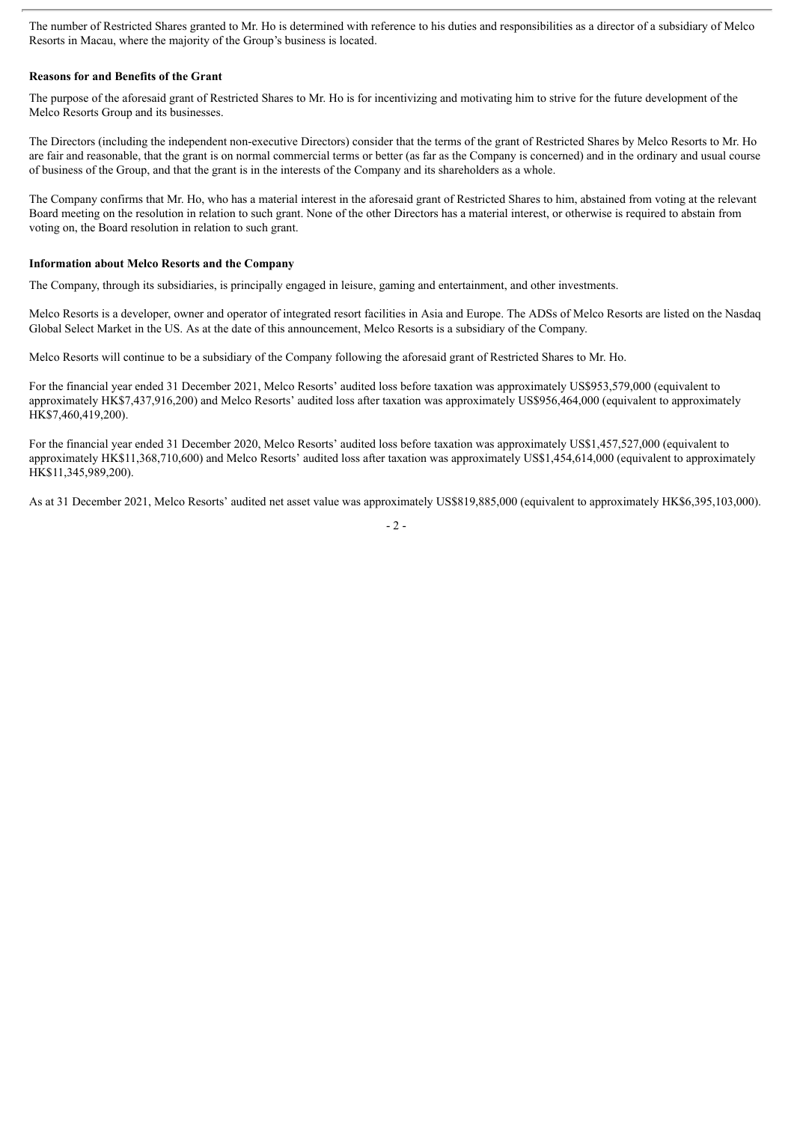The number of Restricted Shares granted to Mr. Ho is determined with reference to his duties and responsibilities as a director of a subsidiary of Melco Resorts in Macau, where the majority of the Group's business is located.

### **Reasons for and Benefits of the Grant**

The purpose of the aforesaid grant of Restricted Shares to Mr. Ho is for incentivizing and motivating him to strive for the future development of the Melco Resorts Group and its businesses.

The Directors (including the independent non-executive Directors) consider that the terms of the grant of Restricted Shares by Melco Resorts to Mr. Ho are fair and reasonable, that the grant is on normal commercial terms or better (as far as the Company is concerned) and in the ordinary and usual course of business of the Group, and that the grant is in the interests of the Company and its shareholders as a whole.

The Company confirms that Mr. Ho, who has a material interest in the aforesaid grant of Restricted Shares to him, abstained from voting at the relevant Board meeting on the resolution in relation to such grant. None of the other Directors has a material interest, or otherwise is required to abstain from voting on, the Board resolution in relation to such grant.

### **Information about Melco Resorts and the Company**

The Company, through its subsidiaries, is principally engaged in leisure, gaming and entertainment, and other investments.

Melco Resorts is a developer, owner and operator of integrated resort facilities in Asia and Europe. The ADSs of Melco Resorts are listed on the Nasdaq Global Select Market in the US. As at the date of this announcement, Melco Resorts is a subsidiary of the Company.

Melco Resorts will continue to be a subsidiary of the Company following the aforesaid grant of Restricted Shares to Mr. Ho.

For the financial year ended 31 December 2021, Melco Resorts' audited loss before taxation was approximately US\$953,579,000 (equivalent to approximately HK\$7,437,916,200) and Melco Resorts' audited loss after taxation was approximately US\$956,464,000 (equivalent to approximately HK\$7,460,419,200).

For the financial year ended 31 December 2020, Melco Resorts' audited loss before taxation was approximately US\$1,457,527,000 (equivalent to approximately HK\$11,368,710,600) and Melco Resorts' audited loss after taxation was approximately US\$1,454,614,000 (equivalent to approximately HK\$11,345,989,200).

As at 31 December 2021, Melco Resorts' audited net asset value was approximately US\$819,885,000 (equivalent to approximately HK\$6,395,103,000).

 $-2 -$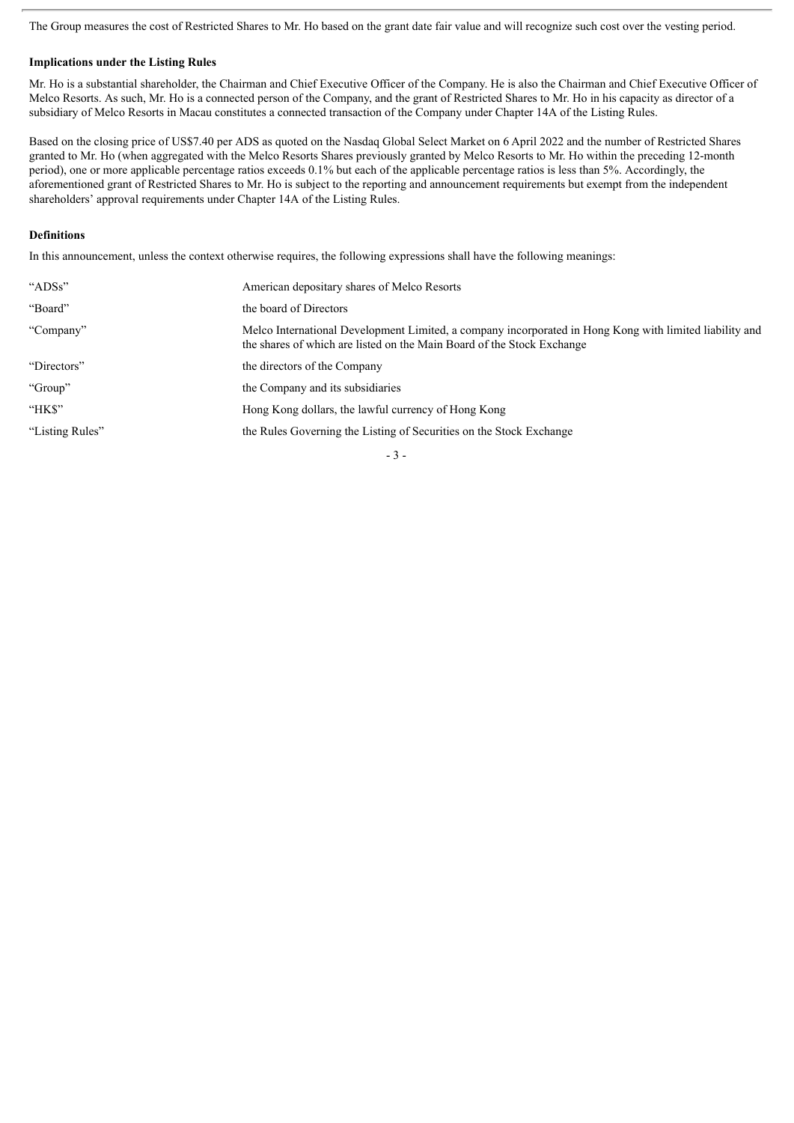The Group measures the cost of Restricted Shares to Mr. Ho based on the grant date fair value and will recognize such cost over the vesting period.

### **Implications under the Listing Rules**

Mr. Ho is a substantial shareholder, the Chairman and Chief Executive Officer of the Company. He is also the Chairman and Chief Executive Officer of Melco Resorts. As such, Mr. Ho is a connected person of the Company, and the grant of Restricted Shares to Mr. Ho in his capacity as director of a subsidiary of Melco Resorts in Macau constitutes a connected transaction of the Company under Chapter 14A of the Listing Rules.

Based on the closing price of US\$7.40 per ADS as quoted on the Nasdaq Global Select Market on 6 April 2022 and the number of Restricted Shares granted to Mr. Ho (when aggregated with the Melco Resorts Shares previously granted by Melco Resorts to Mr. Ho within the preceding 12-month period), one or more applicable percentage ratios exceeds 0.1% but each of the applicable percentage ratios is less than 5%. Accordingly, the aforementioned grant of Restricted Shares to Mr. Ho is subject to the reporting and announcement requirements but exempt from the independent shareholders' approval requirements under Chapter 14A of the Listing Rules.

### **Definitions**

In this announcement, unless the context otherwise requires, the following expressions shall have the following meanings:

| "ADSs"          | American depositary shares of Melco Resorts                                                                                                                                       |
|-----------------|-----------------------------------------------------------------------------------------------------------------------------------------------------------------------------------|
| "Board"         | the board of Directors                                                                                                                                                            |
| "Company"       | Melco International Development Limited, a company incorporated in Hong Kong with limited liability and<br>the shares of which are listed on the Main Board of the Stock Exchange |
| "Directors"     | the directors of the Company                                                                                                                                                      |
| "Group"         | the Company and its subsidiaries                                                                                                                                                  |
| "HK\$"          | Hong Kong dollars, the lawful currency of Hong Kong                                                                                                                               |
| "Listing Rules" | the Rules Governing the Listing of Securities on the Stock Exchange                                                                                                               |
|                 |                                                                                                                                                                                   |

- 3 -